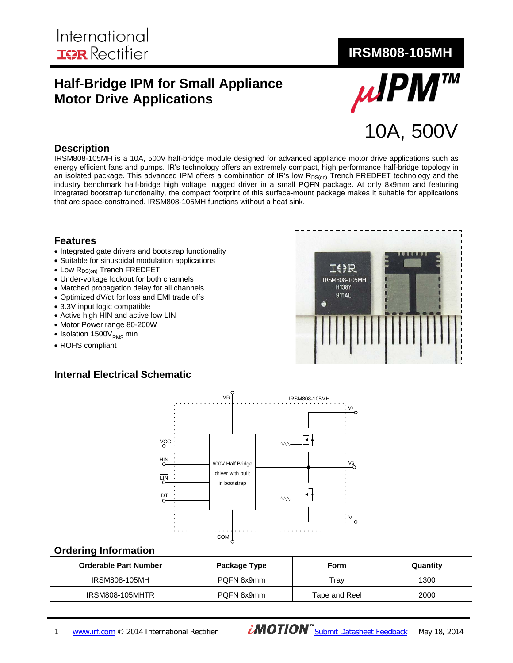# **Half-Bridge IPM for Small Appliance Motor Drive Applications**



#### **Description**

IRSM808-105MH is a 10A, 500V half-bridge module designed for advanced appliance motor drive applications such as energy efficient fans and pumps. IR's technology offers an extremely compact, high performance half-bridge topology in an isolated package. This advanced IPM offers a combination of IR's low  $R_{DS(on)}$  Trench FREDFET technology and the industry benchmark half-bridge high voltage, rugged driver in a small PQFN package. At only 8x9mm and featuring integrated bootstrap functionality, the compact footprint of this surface-mount package makes it suitable for applications that are space-constrained. IRSM808-105MH functions without a heat sink.

#### **Features**

- Integrated gate drivers and bootstrap functionality
- Suitable for sinusoidal modulation applications
- Low R<sub>DS(on)</sub> Trench FREDFET
- Under-voltage lockout for both channels
- Matched propagation delay for all channels
- Optimized dV/dt for loss and EMI trade offs
- 3.3V input logic compatible
- Active high HIN and active low LIN
- Motor Power range 80-200W
- Isolation  $1500V_{RMS}$  min
- ROHS compliant

#### **Internal Electrical Schematic**





#### **Ordering Information**

| <b>Orderable Part Number</b> | Package Type | Form          | Quantity |
|------------------------------|--------------|---------------|----------|
| IRSM808-105MH                | PQFN 8x9mm   | Trav          | 1300     |
| <b>IRSM808-105MHTR</b>       | PQFN 8x9mm   | Tape and Reel | 2000     |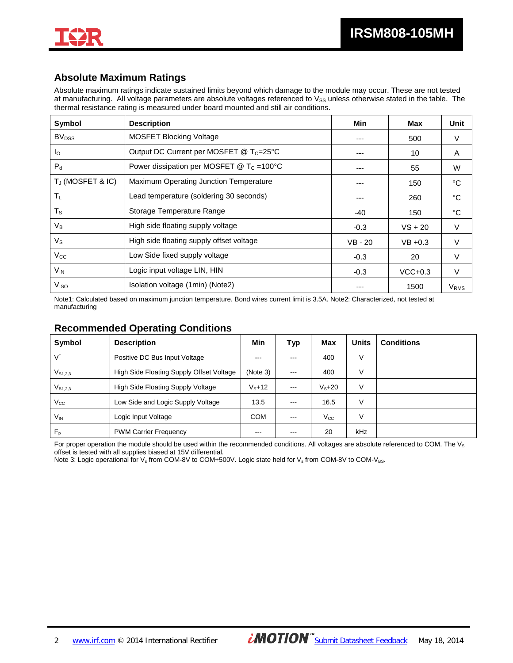

### **Absolute Maximum Ratings**

Absolute maximum ratings indicate sustained limits beyond which damage to the module may occur. These are not tested at manufacturing. All voltage parameters are absolute voltages referenced to  $V_{SS}$  unless otherwise stated in the table. The thermal resistance rating is measured under board mounted and still air conditions.

| Symbol                  | <b>Description</b>                                       | Min     | <b>Max</b> | Unit                    |
|-------------------------|----------------------------------------------------------|---------|------------|-------------------------|
| <b>BV<sub>DSS</sub></b> | <b>MOSFET Blocking Voltage</b>                           |         | 500        | V                       |
| $I_{\Omega}$            | Output DC Current per MOSFET @ T <sub>C</sub> =25°C      | ---     | 10         | A                       |
| $P_{d}$                 | Power dissipation per MOSFET $@$ T <sub>C</sub> = 100 °C | ---     | 55         | W                       |
| $T_J$ (MOSFET & IC)     | Maximum Operating Junction Temperature                   | ---     | 150        | °C                      |
| $T_L$                   | Lead temperature (soldering 30 seconds)                  | ---     | 260        | °C                      |
| $T_{\rm S}$             | Storage Temperature Range                                | $-40$   | 150        | °C                      |
| $V_B$                   | High side floating supply voltage                        | $-0.3$  | $VS + 20$  | $\vee$                  |
| $V_{\rm S}$             | High side floating supply offset voltage                 | VB - 20 | $VB + 0.3$ | $\vee$                  |
| $V_{\rm CC}$            | Low Side fixed supply voltage                            | $-0.3$  | 20         | $\vee$                  |
| $V_{\text{IN}}$         | Logic input voltage LIN, HIN                             | $-0.3$  | $VCC+0.3$  | V                       |
| V <sub>ISO</sub>        | Isolation voltage (1min) (Note2)                         |         | 1500       | <b>V</b> <sub>RMS</sub> |

Note1: Calculated based on maximum junction temperature. Bond wires current limit is 3.5A. Note2: Characterized, not tested at manufacturing

#### **Recommended Operating Conditions**

| Symbol       | <b>Description</b>                       | Min             | Typ     | <b>Max</b>      | <b>Units</b> | <b>Conditions</b> |
|--------------|------------------------------------------|-----------------|---------|-----------------|--------------|-------------------|
| Vt           | Positive DC Bus Input Voltage            | ---             | $-- -$  | 400             | ٧            |                   |
| $V_{S1,2,3}$ | High Side Floating Supply Offset Voltage | (Note 3)        | $- - -$ | 400             | ٧            |                   |
| $V_{B1.2.3}$ | High Side Floating Supply Voltage        | $V_{\rm s}$ +12 | $- - -$ | $V_{\rm s}$ +20 | ٧            |                   |
| $V_{\rm CC}$ | Low Side and Logic Supply Voltage        | 13.5            | $---$   | 16.5            | ٧            |                   |
| $V_{\rm IN}$ | Logic Input Voltage                      | <b>COM</b>      | $--$    | $V_{\rm CC}$    | ٧            |                   |
| $F_{p}$      | <b>PWM Carrier Frequency</b>             | ---             | $-- -$  | 20              | kHz          |                   |

For proper operation the module should be used within the recommended conditions. All voltages are absolute referenced to COM. The  $V_s$ offset is tested with all supplies biased at 15V differential.

Note 3: Logic operational for V<sub>s</sub> from COM-8V to COM+500V. Logic state held for V<sub>s</sub> from COM-8V to COM-V<sub>BS</sub>.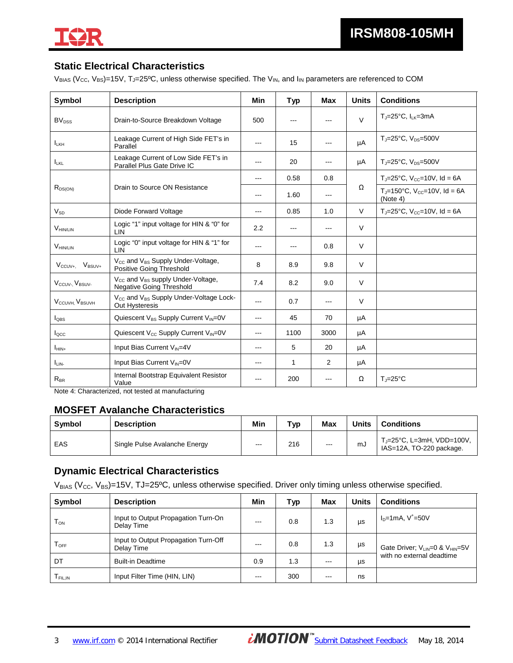

### **Static Electrical Characteristics**

V<sub>BIAS</sub> (V<sub>CC</sub>, V<sub>BS</sub>)=15V, T<sub>J</sub>=25°C, unless otherwise specified. The V<sub>IN</sub>, and I<sub>IN</sub> parameters are referenced to COM

| Symbol                                   | <b>Description</b>                                                                           | Min   | Typ                                                                                            | <b>Max</b> | <b>Units</b> | <b>Conditions</b>                                                         |
|------------------------------------------|----------------------------------------------------------------------------------------------|-------|------------------------------------------------------------------------------------------------|------------|--------------|---------------------------------------------------------------------------|
| <b>BV</b> <sub>DSS</sub>                 | Drain-to-Source Breakdown Voltage                                                            | 500   | $---$                                                                                          | ---        | $\vee$       | $T_{J}$ =25°C, $I_{LK}$ =3mA                                              |
| $I_{LKH}$                                | Leakage Current of High Side FET's in<br>Parallel                                            | $---$ | 15                                                                                             | ---        | μA           | $T_{J} = 25^{\circ}C$ , $V_{DS} = 500V$                                   |
| <b>LKL</b>                               | Leakage Current of Low Side FET's in<br>Parallel Plus Gate Drive IC                          | ---   | 20                                                                                             | ---        | μA           | $T_{\text{J}}$ =25°C, $V_{\text{DS}}$ =500V                               |
|                                          |                                                                                              | ---   | 0.58                                                                                           | 0.8        |              | $T_{J}$ =25°C, V <sub>cc</sub> =10V, Id = 6A                              |
| $R_{DS(ON)}$                             | Drain to Source ON Resistance                                                                | $--$  | 1.60                                                                                           | $---$      | Ω            | $T_{\text{J}} = 150^{\circ}$ C, V <sub>cc</sub> =10V, Id = 6A<br>(Note 4) |
| $V_{SD}$                                 | Diode Forward Voltage                                                                        | ---   | 0.85                                                                                           | 1.0        | $\vee$       | $T_{J}$ =25°C, V <sub>cc</sub> =10V, Id = 6A                              |
| <b>VHIN/LIN</b>                          | Logic "1" input voltage for HIN & "0" for<br>LIN                                             | 2.2   | $\frac{1}{2} \left( \frac{1}{2} \right) \left( \frac{1}{2} \right) \left( \frac{1}{2} \right)$ | $---$      | V            |                                                                           |
| <b>VHIN/LIN</b>                          | Logic "0" input voltage for HIN & "1" for<br><b>LIN</b>                                      | ---   | $- - -$                                                                                        | 0.8        | $\vee$       |                                                                           |
| $V_{\rm BSIIV+}$<br>$V_{\rm CCUV+}$      | V <sub>CC</sub> and V <sub>BS</sub> Supply Under-Voltage,<br>Positive Going Threshold        | 8     | 8.9                                                                                            | 9.8        | $\vee$       |                                                                           |
| V <sub>CCUV</sub> -, V <sub>BSUV</sub> - | $V_{\text{CC}}$ and $V_{\text{BS}}$ supply Under-Voltage,<br><b>Negative Going Threshold</b> | 7.4   | 8.2                                                                                            | 9.0        | $\vee$       |                                                                           |
| V <sub>CCUVH</sub> , V <sub>BSUVH</sub>  | V <sub>cc</sub> and V <sub>BS</sub> Supply Under-Voltage Lock-<br>Out Hysteresis             | $---$ | 0.7                                                                                            | $---$      | $\vee$       |                                                                           |
| $I_{OBS}$                                | Quiescent V <sub>BS</sub> Supply Current V <sub>IN</sub> =0V                                 | ---   | 45                                                                                             | 70         | μA           |                                                                           |
| locc                                     | Quiescent V <sub>cc</sub> Supply Current V <sub>IN</sub> =0V                                 | ---   | 1100                                                                                           | 3000       | μA           |                                                                           |
| $I_{HIN+}$                               | Input Bias Current VIN=4V                                                                    | ---   | 5                                                                                              | 20         | μA           |                                                                           |
| I <sub>LIN</sub>                         | Input Bias Current VIN=0V                                                                    | ---   | 1                                                                                              | 2          | μA           |                                                                           |
| $R_{BR}$                                 | Internal Bootstrap Equivalent Resistor<br>Value                                              | ---   | 200                                                                                            | ---        | Ω            | $T_i = 25^{\circ}C$                                                       |

Note 4: Characterized, not tested at manufacturing

#### **MOSFET Avalanche Characteristics**

| Symbol | <b>Description</b>            | Min                  | $\mathbf{\tau}_{\mathsf{VD}}$ | Max  | <b>Units</b> | Conditions                                            |
|--------|-------------------------------|----------------------|-------------------------------|------|--------------|-------------------------------------------------------|
| EAS    | Single Pulse Avalanche Energy | $\sim$ $\sim$<br>___ | 216                           | $--$ | mJ           | T」=25°C, L=3mH, VDD=100V,<br>IAS=12A, TO-220 package. |

### **Dynamic Electrical Characteristics**

 $V_{BIAS}$  (V<sub>CC</sub>, V<sub>BS</sub>)=15V, TJ=25<sup>o</sup>C, unless otherwise specified. Driver only timing unless otherwise specified.

| Symbol    | <b>Description</b>                                 | Min     | Typ | <b>Max</b> | <b>Units</b> | <b>Conditions</b>                                       |
|-----------|----------------------------------------------------|---------|-----|------------|--------------|---------------------------------------------------------|
| $T_{ON}$  | Input to Output Propagation Turn-On<br>Delay Time  | $- - -$ | 0.8 | 1.3        | μs           | $I_D = 1mA, V^+ = 50V$                                  |
| $T_{OFF}$ | Input to Output Propagation Turn-Off<br>Delay Time | $---$   | 0.8 | 1.3        | μs           | Gate Driver; V <sub>LIN</sub> =0 & V <sub>HIN</sub> =5V |
| DT        | <b>Built-in Deadtime</b>                           | 0.9     | 1.3 | $- - -$    | μs           | with no external deadtime                               |
| I FIL,IN  | Input Filter Time (HIN, LIN)                       | $- - -$ | 300 | ---        | ns           |                                                         |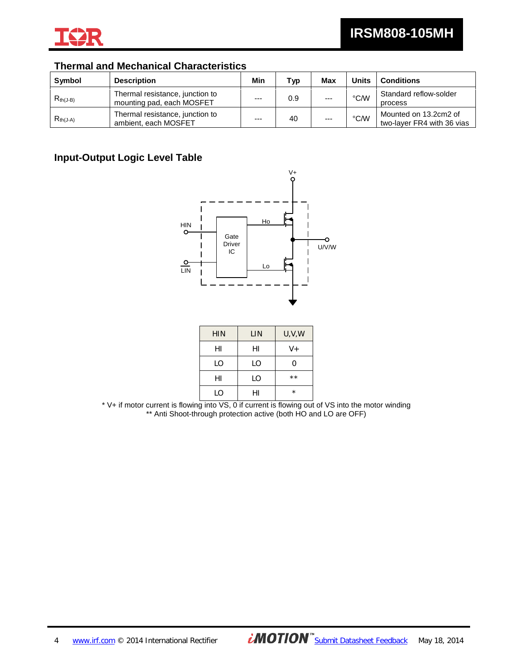

### **Thermal and Mechanical Characteristics**

| Symbol        | <b>Description</b>                                           | Min     | Typ | <b>Max</b> | <b>Units</b>  | <b>Conditions</b>                                   |
|---------------|--------------------------------------------------------------|---------|-----|------------|---------------|-----------------------------------------------------|
| $R_{th(J-B)}$ | Thermal resistance, junction to<br>mounting pad, each MOSFET | $---$   | 0.9 | $- - -$    | $\degree$ C/W | Standard reflow-solder<br>process                   |
| $R_{th(J-A)}$ | Thermal resistance, junction to<br>ambient, each MOSFET      | $- - -$ | 40  | $- - -$    | $\degree$ C/W | Mounted on 13.2cm2 of<br>two-laver FR4 with 36 vias |

### **Input-Output Logic Level Table**



| <b>HIN</b> | LIN | U, V, W |
|------------|-----|---------|
| HI         | HI  | $V +$   |
| LO         | LO  | ი       |
| HI         | LO  | $**$    |
| I O        | н١  | $\star$ |

\* V+ if motor current is flowing into VS, 0 if current is flowing out of VS into the motor winding \*\* Anti Shoot-through protection active (both HO and LO are OFF)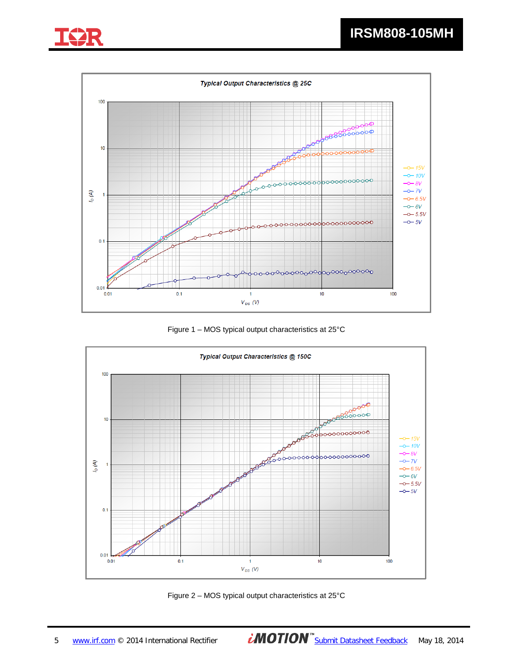



Figure 1 – MOS typical output characteristics at 25°C



Figure 2 – MOS typical output characteristics at 25°C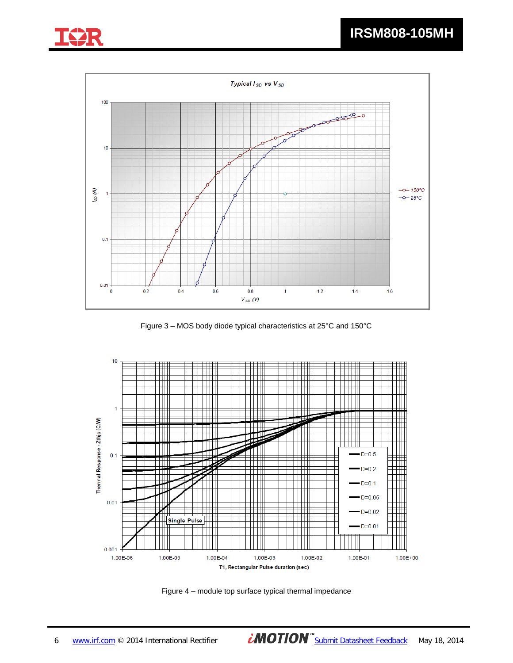



Figure 3 – MOS body diode typical characteristics at 25°C and 150°C



Figure 4 – module top surface typical thermal impedance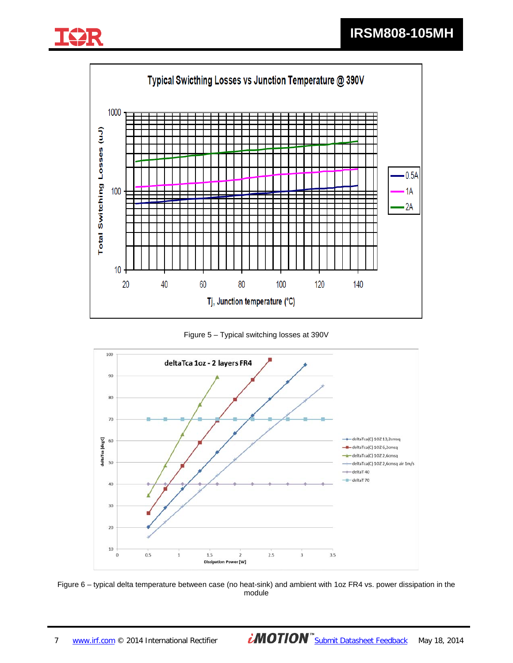



Figure 5 – Typical switching losses at 390V



Figure 6 – typical delta temperature between case (no heat-sink) and ambient with 1oz FR4 vs. power dissipation in the module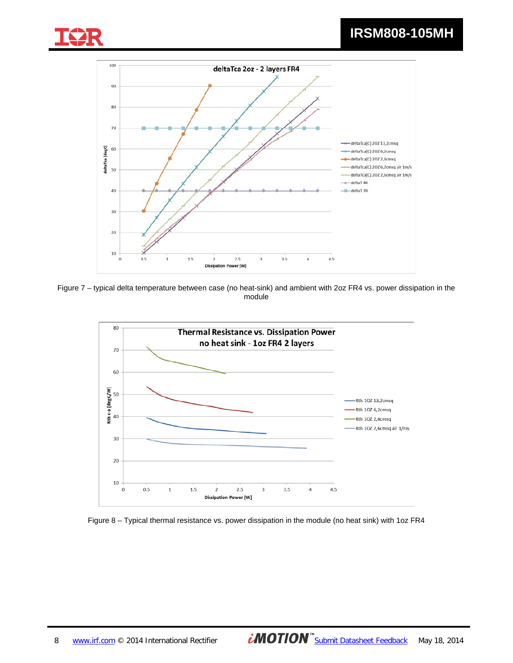





Figure 7 – typical delta temperature between case (no heat-sink) and ambient with 2oz FR4 vs. power dissipation in the module



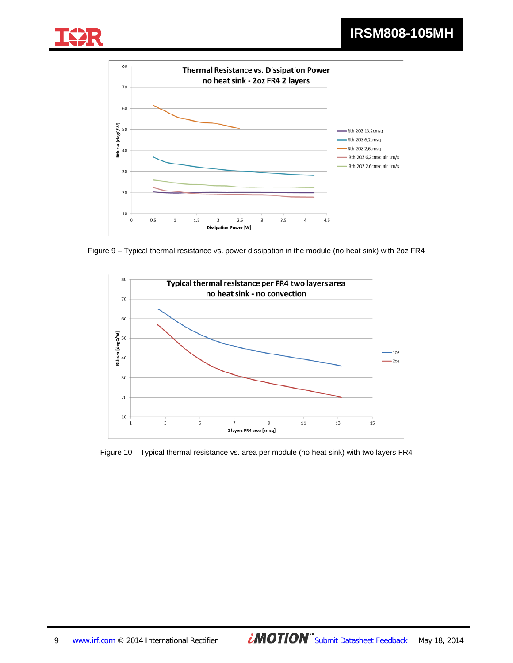



Figure 9 – Typical thermal resistance vs. power dissipation in the module (no heat sink) with 2oz FR4



Figure 10 – Typical thermal resistance vs. area per module (no heat sink) with two layers FR4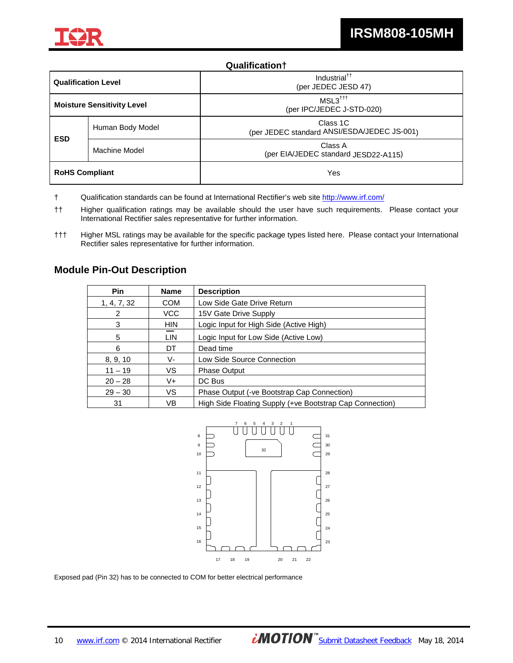

#### **Qualification†**

| <b>Qualification Level</b>        |                                                                             | Industrial <sup>††</sup><br>(per JEDEC JESD 47)             |
|-----------------------------------|-----------------------------------------------------------------------------|-------------------------------------------------------------|
| <b>Moisture Sensitivity Level</b> |                                                                             | $MSL3^{\dagger\dagger\dagger}$<br>(per IPC/JEDEC J-STD-020) |
|                                   | Class 1C<br>Human Body Model<br>(per JEDEC standard ANSI/ESDA/JEDEC JS-001) |                                                             |
| <b>ESD</b><br>Machine Model       |                                                                             | Class A<br>(per EIA/JEDEC standard JESD22-A115)             |
| <b>RoHS Compliant</b><br>Yes      |                                                                             |                                                             |

- † Qualification standards can be found at International Rectifier's web site http://www.irf.com/
- †† Higher qualification ratings may be available should the user have such requirements. Please contact your International Rectifier sales representative for further information.
- ††† Higher MSL ratings may be available for the specific package types listed here. Please contact your International Rectifier sales representative for further information.

#### **Module Pin-Out Description**

| <b>Pin</b>  | <b>Name</b> | <b>Description</b>                                       |  |
|-------------|-------------|----------------------------------------------------------|--|
| 1, 4, 7, 32 | <b>COM</b>  | Low Side Gate Drive Return                               |  |
| 2           | VCC         | 15V Gate Drive Supply                                    |  |
| 3           | <b>HIN</b>  | Logic Input for High Side (Active High)                  |  |
| 5           | LIN         | Logic Input for Low Side (Active Low)                    |  |
| 6           | DT          | Dead time                                                |  |
| 8, 9, 10    | V-          | Low Side Source Connection                               |  |
| $11 - 19$   | VS          | <b>Phase Output</b>                                      |  |
| $20 - 28$   | V+          | DC Bus                                                   |  |
| $29 - 30$   | VS          | Phase Output (-ve Bootstrap Cap Connection)              |  |
| 31          | VB          | High Side Floating Supply (+ve Bootstrap Cap Connection) |  |



Exposed pad (Pin 32) has to be connected to COM for better electrical performance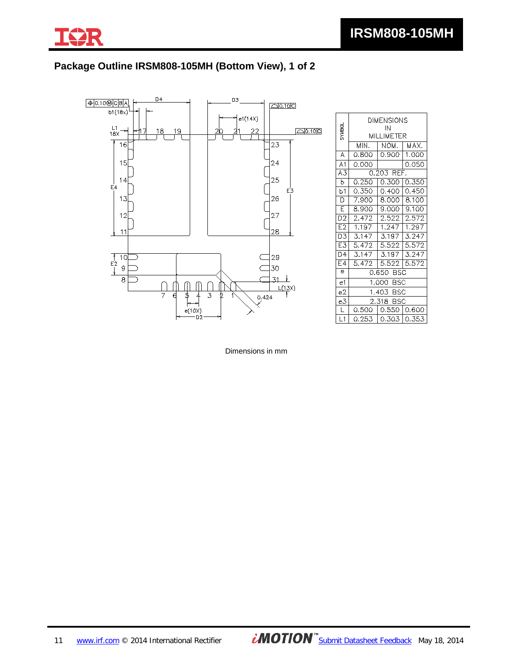

# **Package Outline IRSM808-105MH (Bottom View), 1 of 2**



| <b>UGAVAS</b>    | DIMENSIONS<br>IN<br>MILLIMETER |               |       |  |  |
|------------------|--------------------------------|---------------|-------|--|--|
|                  | MIN.                           | NOM.          | MAX.  |  |  |
| A                | 0.800                          | 0.900         | 1.000 |  |  |
| A <sub>1</sub>   | 0.000                          |               | 0.050 |  |  |
| A3               |                                | 0.203 REF.    |       |  |  |
| b                | 0.250                          | 0.300         | 0.350 |  |  |
| b1               | 0.350                          | 0.400         | 0.450 |  |  |
| D                | 7.900                          | 8.000         | 8.100 |  |  |
| E                | 8.900                          | 9.000         | 9.100 |  |  |
| D <sub>2</sub>   | 2.472                          | 2.522         | 2.572 |  |  |
| E <sub>2</sub>   | 1.197                          | 1.247         | 1.297 |  |  |
| D3               | 3.147                          | 3.197         | 3.247 |  |  |
| E3               | 5.472                          | 5.522         | 5.572 |  |  |
| $\overline{D4}$  | 3.147                          | 3.197         | 3.247 |  |  |
| E4               | 5.472                          | 5.522         | 5.572 |  |  |
| $\overline{e}$   | 0.650 BSC                      |               |       |  |  |
| e1               | 1.000 BSC                      |               |       |  |  |
| e2               |                                | 1.403 BSC     |       |  |  |
| e3               |                                | 2.318 BSC     |       |  |  |
| L                | 0.500                          | 0.550   0.600 |       |  |  |
| $\overline{L}$ 1 | 0.253                          | 0.303   0.353 |       |  |  |

Dimensions in mm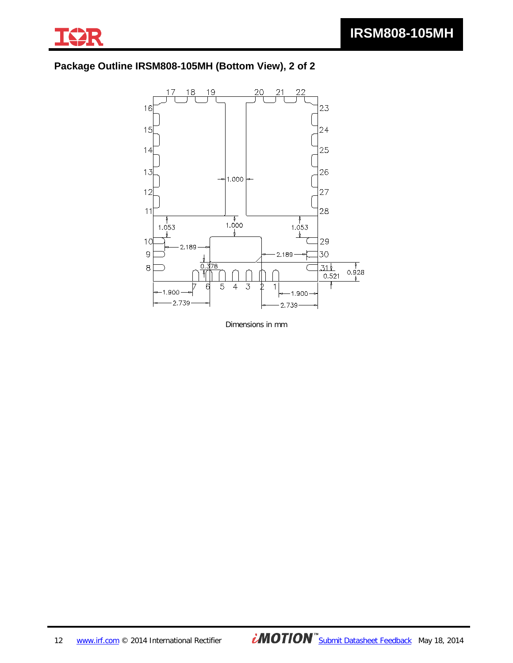

# **Package Outline IRSM808-105MH (Bottom View), 2 of 2**



Dimensions in mm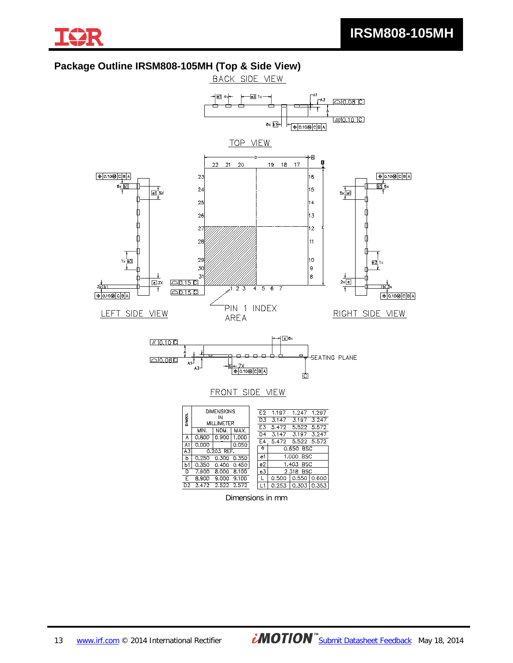

### **Package Outline IRSM808-105MH (Top & Side View)**



Dimensions in mm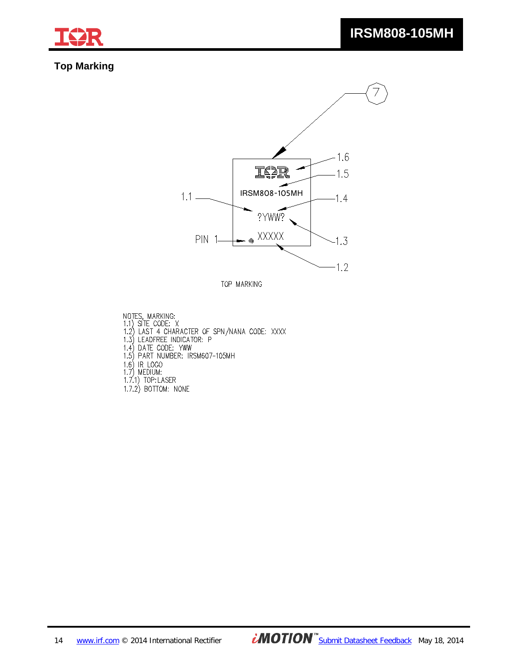

### **Top Marking**



TOP MARKING

NOTES, MARKING:<br>1.1) SITE CODE: X<br>1.2) LAST 4 CHARACTER OF SPN/NANA CODE: XXXX<br>1.3) LEADFREE INDICATOR: P<br>1.4) DATE CODE: YWW<br>1.5) PART NUMBER: IRSM607-105MH 1.6) IR LOGO<br>1.7) MEDIUM:<br>1.7) MEDIUM:<br>1.7.1) TOP:LASER<br>1.7.2) BOTTOM: NONE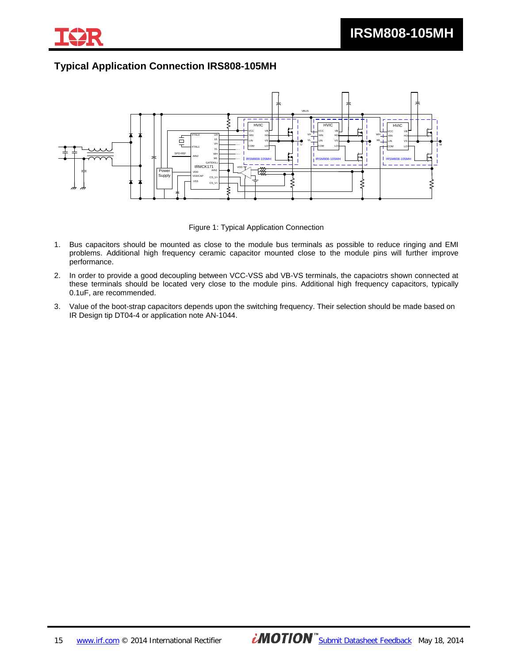

### **Typical Application Connection IRS808-105MH**



Figure 1: Typical Application Connection

- 1. Bus capacitors should be mounted as close to the module bus terminals as possible to reduce ringing and EMI problems. Additional high frequency ceramic capacitor mounted close to the module pins will further improve performance.
- 2. In order to provide a good decoupling between VCC-VSS abd VB-VS terminals, the capaciotrs shown connected at these terminals should be located very close to the module pins. Additional high frequency capacitors, typically 0.1uF, are recommended.
- 3. Value of the boot-strap capacitors depends upon the switching frequency. Their selection should be made based on IR Design tip DT04-4 or application note AN-1044.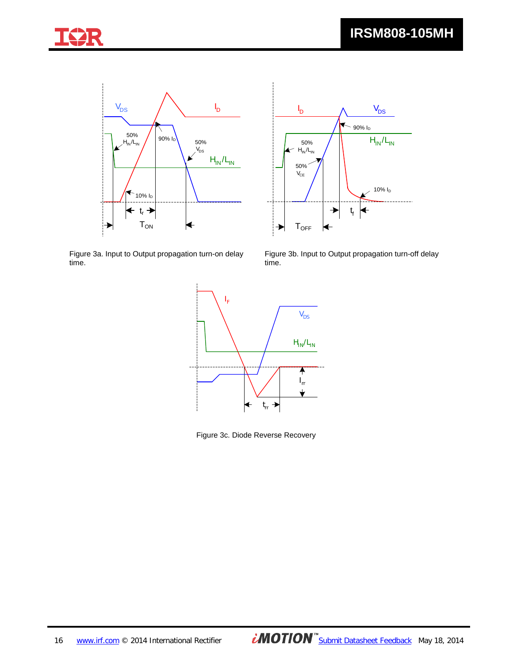





Figure 3a. Input to Output propagation turn-on delay time.

Figure 3b. Input to Output propagation turn-off delay time.



Figure 3c. Diode Reverse Recovery